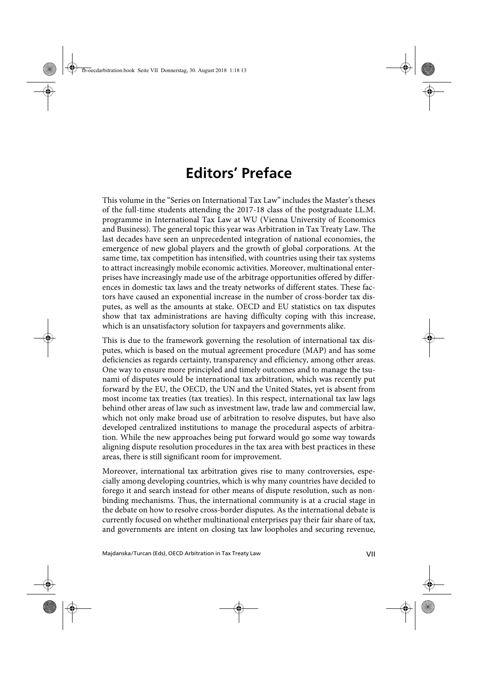## **Editors' Preface**

This volume in the "Series on International Tax Law" includes the Master's theses of the full-time students attending the 2017-18 class of the postgraduate LL.M. programme in International Tax Law at WU (Vienna University of Economics and Business). The general topic this year was Arbitration in Tax Treaty Law. The last decades have seen an unprecedented integration of national economies, the emergence of new global players and the growth of global corporations. At the same time, tax competition has intensified, with countries using their tax systems to attract increasingly mobile economic activities. Moreover, multinational enterprises have increasingly made use of the arbitrage opportunities offered by differences in domestic tax laws and the treaty networks of different states. These factors have caused an exponential increase in the number of cross-border tax disputes, as well as the amounts at stake. OECD and EU statistics on tax disputes show that tax administrations are having difficulty coping with this increase, which is an unsatisfactory solution for taxpayers and governments alike.

This is due to the framework governing the resolution of international tax disputes, which is based on the mutual agreement procedure (MAP) and has some deficiencies as regards certainty, transparency and efficiency, among other areas. One way to ensure more principled and timely outcomes and to manage the tsunami of disputes would be international tax arbitration, which was recently put forward by the EU, the OECD, the UN and the United States, yet is absent from most income tax treaties (tax treaties). In this respect, international tax law lags behind other areas of law such as investment law, trade law and commercial law, which not only make broad use of arbitration to resolve disputes, but have also developed centralized institutions to manage the procedural aspects of arbitration. While the new approaches being put forward would go some way towards aligning dispute resolution procedures in the tax area with best practices in these areas, there is still significant room for improvement.

Moreover, international tax arbitration gives rise to many controversies, especially among developing countries, which is why many countries have decided to forego it and search instead for other means of dispute resolution, such as nonbinding mechanisms. Thus, the international community is at a crucial stage in the debate on how to resolve cross-border disputes. As the international debate is currently focused on whether multinational enterprises pay their fair share of tax, and governments are intent on closing tax law loopholes and securing revenue,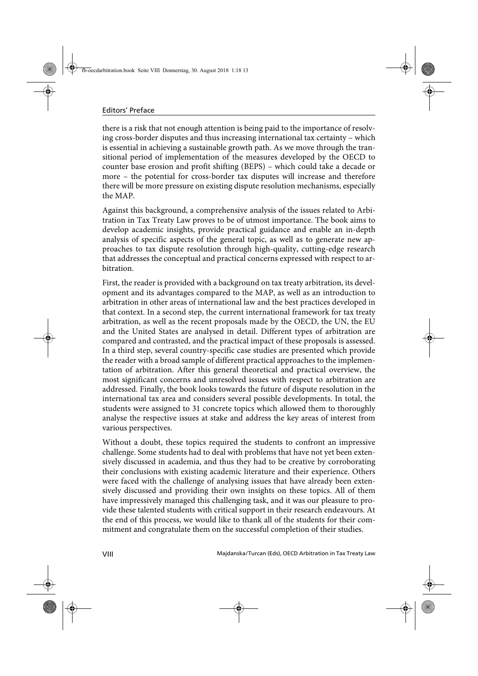there is a risk that not enough attention is being paid to the importance of resolving cross-border disputes and thus increasing international tax certainty – which is essential in achieving a sustainable growth path. As we move through the transitional period of implementation of the measures developed by the OECD to counter base erosion and profit shifting (BEPS) – which could take a decade or more – the potential for cross-border tax disputes will increase and therefore there will be more pressure on existing dispute resolution mechanisms, especially the MAP.

Against this background, a comprehensive analysis of the issues related to Arbitration in Tax Treaty Law proves to be of utmost importance. The book aims to develop academic insights, provide practical guidance and enable an in-depth analysis of specific aspects of the general topic, as well as to generate new approaches to tax dispute resolution through high-quality, cutting-edge research that addresses the conceptual and practical concerns expressed with respect to arbitration.

First, the reader is provided with a background on tax treaty arbitration, its development and its advantages compared to the MAP, as well as an introduction to arbitration in other areas of international law and the best practices developed in that context. In a second step, the current international framework for tax treaty arbitration, as well as the recent proposals made by the OECD, the UN, the EU and the United States are analysed in detail. Different types of arbitration are compared and contrasted, and the practical impact of these proposals is assessed. In a third step, several country-specific case studies are presented which provide the reader with a broad sample of different practical approaches to the implementation of arbitration. After this general theoretical and practical overview, the most significant concerns and unresolved issues with respect to arbitration are addressed. Finally, the book looks towards the future of dispute resolution in the international tax area and considers several possible developments. In total, the students were assigned to 31 concrete topics which allowed them to thoroughly analyse the respective issues at stake and address the key areas of interest from various perspectives.

Without a doubt, these topics required the students to confront an impressive challenge. Some students had to deal with problems that have not yet been extensively discussed in academia, and thus they had to be creative by corroborating their conclusions with existing academic literature and their experience. Others were faced with the challenge of analysing issues that have already been extensively discussed and providing their own insights on these topics. All of them have impressively managed this challenging task, and it was our pleasure to provide these talented students with critical support in their research endeavours. At the end of this process, we would like to thank all of the students for their commitment and congratulate them on the successful completion of their studies.